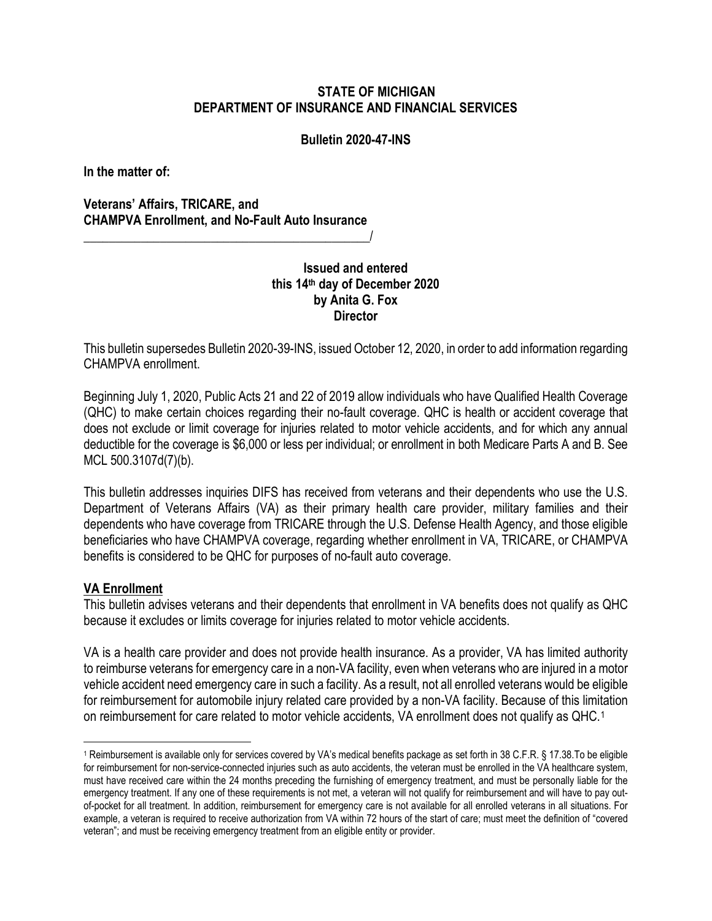## **STATE OF MICHIGAN DEPARTMENT OF INSURANCE AND FINANCIAL SERVICES**

#### **Bulletin 2020-47-INS**

**In the matter of:**

**Veterans' Affairs, TRICARE, and CHAMPVA Enrollment, and No-Fault Auto Insurance**

 $\overline{\phantom{a}}$  , where the contract of the contract of the contract of the contract of the contract of the contract of the contract of the contract of the contract of the contract of the contract of the contract of the contr

# **Issued and entered this 14th day of December 2020 by Anita G. Fox Director**

This bulletin supersedes Bulletin 2020-39-INS, issued October 12, 2020, in order to add information regarding CHAMPVA enrollment.

Beginning July 1, 2020, Public Acts 21 and 22 of 2019 allow individuals who have Qualified Health Coverage (QHC) to make certain choices regarding their no-fault coverage. QHC is health or accident coverage that does not exclude or limit coverage for injuries related to motor vehicle accidents, and for which any annual deductible for the coverage is \$6,000 or less per individual; or enrollment in both Medicare Parts A and B. See MCL 500.3107d(7)(b).

This bulletin addresses inquiries DIFS has received from veterans and their dependents who use the U.S. Department of Veterans Affairs (VA) as their primary health care provider, military families and their dependents who have coverage from TRICARE through the U.S. Defense Health Agency, and those eligible beneficiaries who have CHAMPVA coverage, regarding whether enrollment in VA, TRICARE, or CHAMPVA benefits is considered to be QHC for purposes of no-fault auto coverage.

## **VA Enrollment**

This bulletin advises veterans and their dependents that enrollment in VA benefits does not qualify as QHC because it excludes or limits coverage for injuries related to motor vehicle accidents.

VA is a health care provider and does not provide health insurance. As a provider, VA has limited authority to reimburse veterans for emergency care in a non-VA facility, even when veterans who are injured in a motor vehicle accident need emergency care in such a facility. As a result, not all enrolled veterans would be eligible for reimbursement for automobile injury related care provided by a non-VA facility. Because of this limitation on reimbursement for care related to motor vehicle accidents, VA enrollment does not qualify as QHC.[1](#page-0-0)

<span id="page-0-0"></span><sup>1</sup> Reimbursement is available only for services covered by VA's medical benefits package as set forth in 38 C.F.R. § 17.38.To be eligible for reimbursement for non-service-connected injuries such as auto accidents, the veteran must be enrolled in the VA healthcare system, must have received care within the 24 months preceding the furnishing of emergency treatment, and must be personally liable for the emergency treatment. If any one of these requirements is not met, a veteran will not qualify for reimbursement and will have to pay outof-pocket for all treatment. In addition, reimbursement for emergency care is not available for all enrolled veterans in all situations. For example, a veteran is required to receive authorization from VA within 72 hours of the start of care; must meet the definition of "covered veteran"; and must be receiving emergency treatment from an eligible entity or provider.